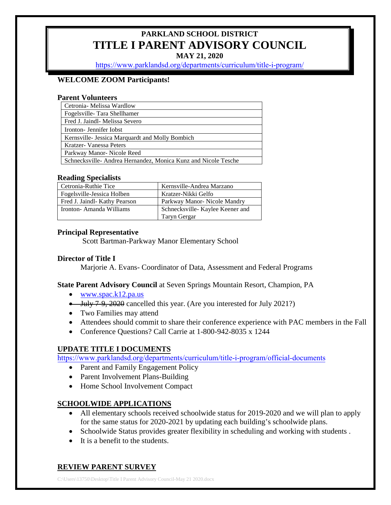# **PARKLAND SCHOOL DISTRICT TITLE I PARENT ADVISORY COUNCIL**

**MAY 21, 2020** 

[https://www.parklandsd.org/departments/curriculum/title-i-program/](https://www.parklandsd.org/title-i-program/parent-advisory-council)

#### **WELCOME ZOOM Participants!**

#### **Parent Volunteers**

| Cetronia- Melissa Wardlow                                     |
|---------------------------------------------------------------|
| Fogelsville-Tara Shellhamer                                   |
| Fred J. Jaindl- Melissa Severo                                |
| Ironton-Jennifer Iobst                                        |
| Kernsville- Jessica Marquardt and Molly Bombich               |
| Kratzer-Vanessa Peters                                        |
| Parkway Manor-Nicole Reed                                     |
| Schnecksville-Andrea Hernandez, Monica Kunz and Nicole Tesche |

#### **Reading Specialists**

| Cetronia-Ruthie Tice          | Kernsville-Andrea Marzano       |
|-------------------------------|---------------------------------|
| Fogels ville-Jessica Holben   | Kratzer-Nikki Gelfo             |
| Fred J. Jaindl- Kathy Pearson | Parkway Manor- Nicole Mandry    |
| Ironton-Amanda Williams       | Schnecksville-Kaylee Keener and |
|                               | Taryn Gergar                    |

#### **Principal Representative**

Scott Bartman-Parkway Manor Elementary School

#### **Director of Title I**

Marjorie A. Evans- Coordinator of Data, Assessment and Federal Programs

**State Parent Advisory Council** at Seven Springs Mountain Resort, Champion, PA

- [www.spac.k12.pa.us](http://www.spac.k12.pa.us/)
- July 7-9, 2020 cancelled this year. (Are you interested for July 2021?)
- Two Families may attend
- Attendees should commit to share their conference experience with PAC members in the Fall
- Conference Questions? Call Carrie at 1-800-942-8035 x 1244

## **UPDATE TITLE I DOCUMENTS**

[https://www.parklandsd.org/departments/curriculum/title-i-prog](https://www.parklandsd.org/title-i-program/official-documents)ram/official-documents

- Parent and Family Engagement Policy
- Parent Involvement Plans-Building
- Home School Involvement Compact

## **SCHOOLWIDE APPLICATIONS**

- All elementary schools received schoolwide status for 2019-2020 and we will plan to apply for the same status for 2020-2021 by updating each building's schoolwide plans.
- Schoolwide Status provides greater flexibility in scheduling and working with students .
- It is a benefit to the students.

# **REVIEW PARENT SURVEY**

C:\Users\13750\Desktop\Title I Parent Advisory Council-May 21 2020.docx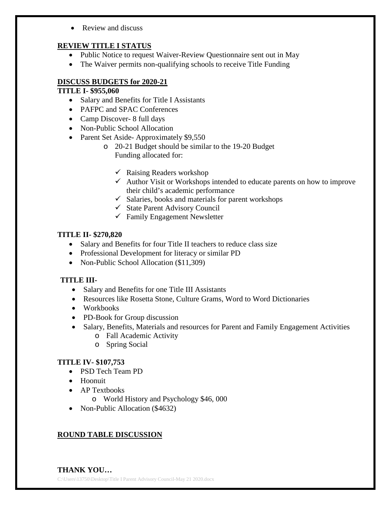• Review and discuss

## **REVIEW TITLE I STATUS**

- Public Notice to request Waiver-Review Questionnaire sent out in May
- The Waiver permits non-qualifying schools to receive Title Funding

## **DISCUSS BUDGETS for 2020-21**

# **TITLE I- \$955,060**

- Salary and Benefits for Title I Assistants
- PAFPC and SPAC Conferences
- Camp Discover- 8 full days
- Non-Public School Allocation
- Parent Set Aside-Approximately \$9,550
	- o 20-21 Budget should be similar to the 19-20 Budget Funding allocated for:
		- $\checkmark$  Raising Readers workshop
		- $\checkmark$  Author Visit or Workshops intended to educate parents on how to improve their child's academic performance
		- $\checkmark$  Salaries, books and materials for parent workshops
		- $\checkmark$  State Parent Advisory Council
		- $\checkmark$  Family Engagement Newsletter

## **TITLE II- \$270,820**

- Salary and Benefits for four Title II teachers to reduce class size
- Professional Development for literacy or similar PD
- Non-Public School Allocation (\$11,309)

# **TITLE III-**

- Salary and Benefits for one Title III Assistants
- Resources like Rosetta Stone, Culture Grams, Word to Word Dictionaries
- Workbooks
- PD-Book for Group discussion
- Salary, Benefits, Materials and resources for Parent and Family Engagement Activities o Fall Academic Activity
	- o Spring Social

# **TITLE IV- \$107,753**

- PSD Tech Team PD
- Hoonuit
- AP Textbooks
	- o World History and Psychology \$46, 000
- Non-Public Allocation (\$4632)

# **ROUND TABLE DISCUSSION**

C:\Users\13750\Desktop\Title I Parent Advisory Council-May 21 2020.docx **THANK YOU…**